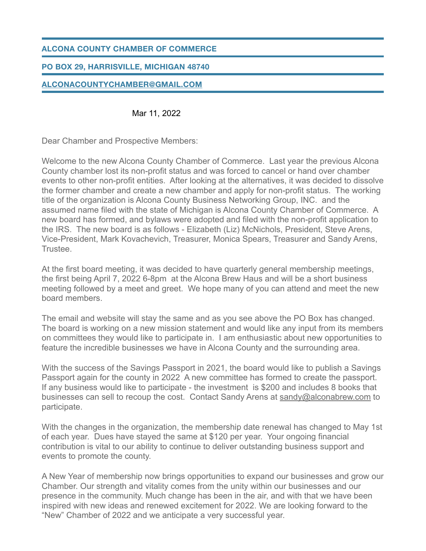### **ALCONA COUNTY CHAMBER OF COMMERCE**

### **PO BOX 29, HARRISVILLE, MICHIGAN 48740**

### **[ALCONACOUNTYCHAMBER@GMAIL.COM](mailto:alconacountychamber@gmail.com)**

#### Mar 11, 2022

Dear Chamber and Prospective Members:

Welcome to the new Alcona County Chamber of Commerce. Last year the previous Alcona County chamber lost its non-profit status and was forced to cancel or hand over chamber events to other non-profit entities. After looking at the alternatives, it was decided to dissolve the former chamber and create a new chamber and apply for non-profit status. The working title of the organization is Alcona County Business Networking Group, INC. and the assumed name filed with the state of Michigan is Alcona County Chamber of Commerce. A new board has formed, and bylaws were adopted and filed with the non-profit application to the IRS. The new board is as follows - Elizabeth (Liz) McNichols, President, Steve Arens, Vice-President, Mark Kovachevich, Treasurer, Monica Spears, Treasurer and Sandy Arens, Trustee.

At the first board meeting, it was decided to have quarterly general membership meetings, the first being April 7, 2022 6-8pm at the Alcona Brew Haus and will be a short business meeting followed by a meet and greet. We hope many of you can attend and meet the new board members.

The email and website will stay the same and as you see above the PO Box has changed. The board is working on a new mission statement and would like any input from its members on committees they would like to participate in. I am enthusiastic about new opportunities to feature the incredible businesses we have in Alcona County and the surrounding area.

With the success of the Savings Passport in 2021, the board would like to publish a Savings Passport again for the county in 2022 A new committee has formed to create the passport. If any business would like to participate - the investment is \$200 and includes 8 books that businesses can sell to recoup the cost. Contact Sandy Arens at [sandy@alconabrew.com](mailto:sandy@alconabrew.com) to participate.

With the changes in the organization, the membership date renewal has changed to May 1st of each year. Dues have stayed the same at \$120 per year. Your ongoing financial contribution is vital to our ability to continue to deliver outstanding business support and events to promote the county.

A New Year of membership now brings opportunities to expand our businesses and grow our Chamber. Our strength and vitality comes from the unity within our businesses and our presence in the community. Much change has been in the air, and with that we have been inspired with new ideas and renewed excitement for 2022. We are looking forward to the "New" Chamber of 2022 and we anticipate a very successful year.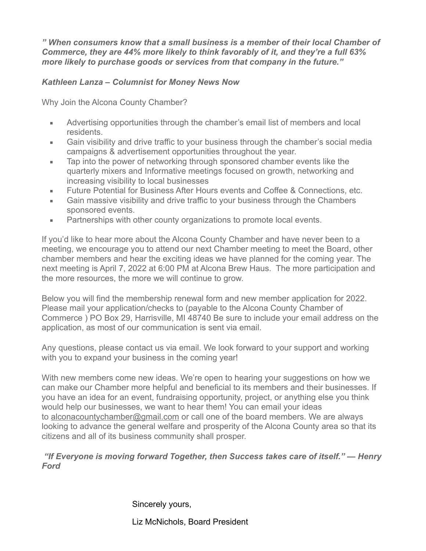*" When consumers know that a small business is a member of their local Chamber of Commerce, they are 44% more likely to think favorably of it, and they're a full 63% more likely to purchase goods or services from that company in the future."* 

*Kathleen Lanza – Columnist for Money News Now*

Why Join the Alcona County Chamber?

- **EXEDER** Advertising opportunities through the chamber's email list of members and local residents.
- Gain visibility and drive traffic to your business through the chamber's social media campaigns & advertisement opportunities throughout the year.
- Tap into the power of networking through sponsored chamber events like the quarterly mixers and Informative meetings focused on growth, networking and increasing visibility to local businesses
- **Future Potential for Business After Hours events and Coffee & Connections, etc.**
- Gain massive visibility and drive traffic to your business through the Chambers sponsored events.
- Partnerships with other county organizations to promote local events.

If you'd like to hear more about the Alcona County Chamber and have never been to a meeting, we encourage you to attend our next Chamber meeting to meet the Board, other chamber members and hear the exciting ideas we have planned for the coming year. The next meeting is April 7, 2022 at 6:00 PM at Alcona Brew Haus. The more participation and the more resources, the more we will continue to grow.

Below you will find the membership renewal form and new member application for 2022. Please mail your application/checks to (payable to the Alcona County Chamber of Commerce ) PO Box 29, Harrisville, MI 48740 Be sure to include your email address on the application, as most of our communication is sent via email.

Any questions, please contact us via email. We look forward to your support and working with you to expand your business in the coming year!

With new members come new ideas. We're open to hearing your suggestions on how we can make our Chamber more helpful and beneficial to its members and their businesses. If you have an idea for an event, fundraising opportunity, project, or anything else you think would help our businesses, we want to hear them! You can email your ideas to [alconacountychamber@gmail.com](mailto:alconacountychamber@gmail.com) or call one of the board members. We are always looking to advance the general welfare and prosperity of the Alcona County area so that its citizens and all of its business community shall prosper.

### *"If Everyone is moving forward Together, then Success takes care of itself." — Henry Ford*

Sincerely yours,

Liz McNichols, Board President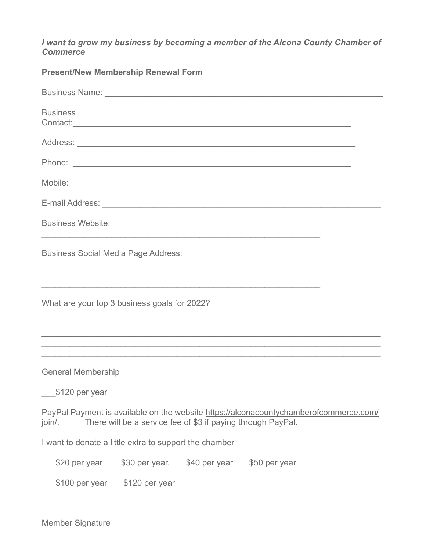*I want to grow my business by becoming a member of the Alcona County Chamber of Commerce*

**Present/New Membership Renewal Form**

| <b>Business</b>                                                                                                                                                                                                                                                                                                                                                                               |
|-----------------------------------------------------------------------------------------------------------------------------------------------------------------------------------------------------------------------------------------------------------------------------------------------------------------------------------------------------------------------------------------------|
|                                                                                                                                                                                                                                                                                                                                                                                               |
|                                                                                                                                                                                                                                                                                                                                                                                               |
|                                                                                                                                                                                                                                                                                                                                                                                               |
|                                                                                                                                                                                                                                                                                                                                                                                               |
| <b>Business Website:</b>                                                                                                                                                                                                                                                                                                                                                                      |
| <b>Business Social Media Page Address:</b><br><u> 1989 - Johann Stoff, amerikansk politiker (* 1908)</u>                                                                                                                                                                                                                                                                                      |
| ,我们也不会有什么。""我们的人,我们也不会有什么?""我们的人,我们也不会有什么?""我们的人,我们的人,我们的人,我们的人,我们的人,我们的人,我们的人,我<br>What are your top 3 business goals for 2022?<br>,我们也不能在这里的时候,我们也不能在这里的时候,我们也不能会在这里的时候,我们也不能会在这里的时候,我们也不能会在这里的时候,我们也不能会在这里的时候,我们也不<br>,我们也不会有什么。""我们的人,我们也不会有什么?""我们的人,我们也不会有什么?""我们的人,我们也不会有什么?""我们的人,我们也不会有什么?""我们的人<br>,我们也不能在这里的时候,我们也不能在这里的时候,我们也不能会在这里,我们也不能会在这里的时候,我们也不能会在这里的时候,我们也不能会在这里的时候,我们也不能会 |
| <b>General Membership</b><br>\$120 per year                                                                                                                                                                                                                                                                                                                                                   |
| PayPal Payment is available on the website https://alconacountychamberofcommerce.com/<br>There will be a service fee of \$3 if paying through PayPal.<br><u>join/</u> .                                                                                                                                                                                                                       |
| I want to donate a little extra to support the chamber                                                                                                                                                                                                                                                                                                                                        |
| 50 per year 1530 per year. 1540 per year 1550 per year                                                                                                                                                                                                                                                                                                                                        |
|                                                                                                                                                                                                                                                                                                                                                                                               |